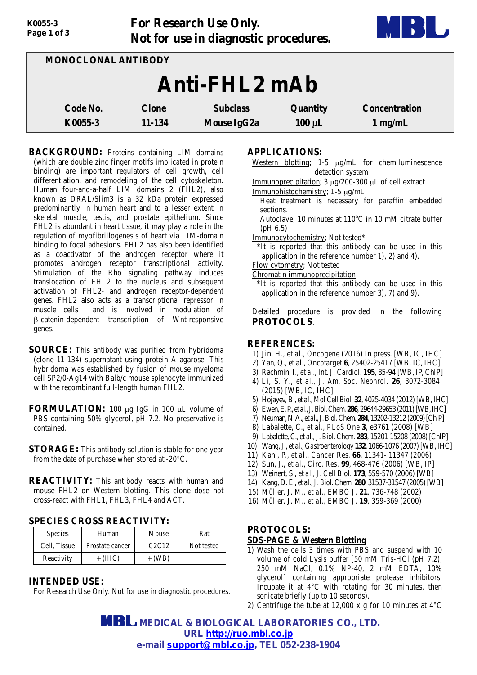| Page 1 of 3 |                                                                                                                                                                  | <b>ПО</b>   |             |           |
|-------------|------------------------------------------------------------------------------------------------------------------------------------------------------------------|-------------|-------------|-----------|
|             | Not for use in diagnostic procedures.<br>MONOCLONAL ANTIBODY<br>Anti-FHL2 mAb<br>Code No.<br><b>Subclass</b><br>Quantity<br><b>Concentration</b><br><b>Clone</b> |             |             |           |
|             |                                                                                                                                                                  |             |             |           |
| K0055-3     | 11-134                                                                                                                                                           | Mouse IgG2a | $100 \mu L$ | $1$ mg/mL |

**For Research Use Only.**

**BACKGROUND:** Proteins containing LIM domains (which are double zinc finger motifs implicated in protein binding) are important regulators of cell growth, cell differentiation, and remodeling of the cell cytoskeleton. Human four-and-a-half LIM domains 2 (FHL2), also known as DRAL/Slim3 is a 32 kDa protein expressed predominantly in human heart and to a lesser extent in skeletal muscle, testis, and prostate epithelium. Since FHL2 is abundant in heart tissue, it may play a role in the regulation of myofibrillogenesis of heart via LIM-domain binding to focal adhesions. FHL2 has also been identified as a coactivator of the androgen receptor where it promotes androgen receptor transcriptional activity. Stimulation of the Rho signaling pathway induces translocation of FHL2 to the nucleus and subsequent activation of FHL2- and androgen receptor-dependent genes. FHL2 also acts as a transcriptional repressor in muscle cells and is involved in modulation of β-catenin-dependent transcription of Wnt-responsive genes.

*K0055-3*

- **SOURCE:** This antibody was purified from hybridoma (clone 11-134) supernatant using protein A agarose. This hybridoma was established by fusion of mouse myeloma cell SP2/0-Ag14 with Balb/c mouse splenocyte immunized with the recombinant full-length human FHL2.
- **FORMULATION:** 100 µg IgG in 100 µL volume of PBS containing 50% glycerol, pH 7.2. No preservative is contained.
- **STORAGE:** This antibody solution is stable for one year from the date of purchase when stored at -20°C.
- **REACTIVITY:** This antibody reacts with human and mouse FHL2 on Western blotting. This clone dose not cross-react with FHL1, FHL3, FHL4 and ACT.

### **SPECIES CROSS REACTIVITY:**

| <b>Species</b> | Human           | Mouse                          | Rat        |
|----------------|-----------------|--------------------------------|------------|
| Cell, Tissue   | Prostate cancer | C <sub>2</sub> C <sub>12</sub> | Not tested |
| Reactivity     | $+$ (IHC)       | + (WB)                         |            |

### **INTENDED USE:**

For Research Use Only. Not for use in diagnostic procedures.

## **APPLICATIONS:**

- Western blotting; 1-5 µg/mL for chemiluminescence detection system
- Immunoprecipitation; 3 µg/200-300 µL of cell extract
- Immunohistochemistry; 1-5 µg/mL
	- Heat treatment is necessary for paraffin embedded sections.
	- Autoclave; 10 minutes at  $110^{\circ}$ C in 10 mM citrate buffer (pH 6.5)
- Immunocytochemistry; Not tested\*
- \*It is reported that this antibody can be used in this application in the reference number 1), 2) and 4).
- Flow cytometry; Not tested
- Chromatin immunoprecipitation
- \*It is reported that this antibody can be used in this application in the reference number 3), 7) and 9).

Detailed procedure is provided in the following **PROTOCOLS**.

### **REFERENCES:**

- 1) Jin, H., *et al., Oncogene* (2016) In press. [WB, IC, IHC]
- 2) Yan, Q., *et al., Oncotarget* **6**, 25402-25417 [WB, IC, IHC]
- 3) Rachmin, I., *et al., Int. J. Cardiol.* **195**, 85-94 [WB, IP, ChIP]
- 4) Li, S. Y., *et al., J. Am. Soc. Nephrol.* **26**, 3072-3084 (2015) [WB, IC, IHC]
- 5) Hojayev,B., *et al., Mol Cell Biol.* **32**, 4025-4034 (2012)[WB, IHC]
- 6) Ewen, E. P.,*et al.,J.Biol.Chem.***286**, 29644-29653(2011)[WB, IHC]
- 7) Neuman, N. A., *et al.,J.Biol.Chem.***284**, 13202-13212(2009)[ChIP]
- 8) Labalette, C., *et al., PLoS One* **3**, e3761 (2008) [WB]
- 9) Labalette,C., *et al., J.Biol.Chem.* **283**, 15201-15208 (2008)[ChIP]
- 10) Wang, J., *et al.,Gastroenterology* **132**, 1066-1076 (2007) [WB, IHC]
- 11) Kahl, P., *et al., Cancer Res.* **66**, 11341- 11347 (2006)
- 12) Sun, J., *et al., Circ. Res.* **99**, 468-476 (2006) [WB, IP]
- 13) Weinert, S., *et al., J. Cell Biol.* **173**, 559-570 (2006) [WB]
- 14) Kang, D. E., *et al., J. Biol. Chem.* **280**, 31537-31547 (2005)[WB]
- 15) Müller, J. M., *et al., EMBO J*. **21**, 736-748 (2002)
- 16) Müller, J. M., *et al., EMBO J.* **19**, 359-369 (2000)

# **PROTOCOLS:**

### **SDS-PAGE & Western Blotting**

- 1) Wash the cells 3 times with PBS and suspend with 10 volume of cold Lysis buffer [50 mM Tris-HCl (pH 7.2), 250 mM NaCl, 0.1% NP-40, 2 mM EDTA, 10% glycerol] containing appropriate protease inhibitors. Incubate it at  $4^{\circ}$ C with rotating for 30 minutes, then sonicate briefly (up to 10 seconds).
- 2) Centrifuge the tube at 12,000 x g for 10 minutes at 4°C

 **MEDICAL & BIOLOGICAL LABORATORIES CO., LTD. URL [http://ruo.mbl.co.jp](https://res.mbl.co.jp/) e-mail [support@mbl.co.jp,](mailto:support@mbl.co.jp) TEL 052-238-1904**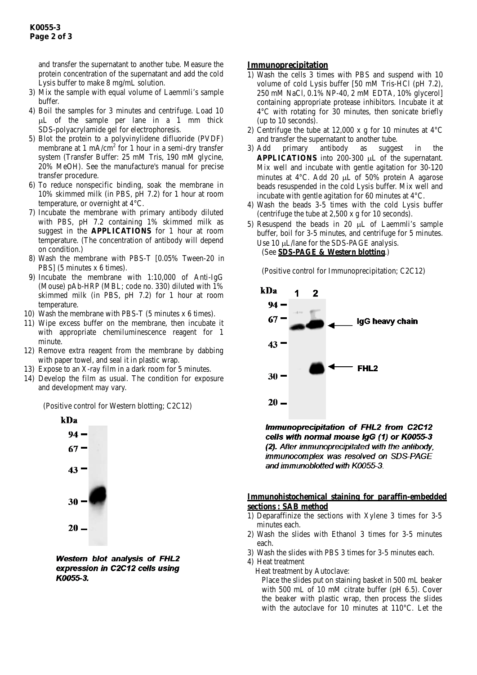and transfer the supernatant to another tube. Measure the protein concentration of the supernatant and add the cold Lysis buffer to make 8 mg/mL solution.

- 3) Mix the sample with equal volume of Laemmli's sample buffer.
- 4) Boil the samples for 3 minutes and centrifuge. Load 10 µL of the sample per lane in a 1 mm thick SDS-polyacrylamide gel for electrophoresis.
- 5) Blot the protein to a polyvinylidene difluoride (PVDF) membrane at 1 mA/cm<sup>2</sup> for 1 hour in a semi-dry transfer system (Transfer Buffer: 25 mM Tris, 190 mM glycine, 20% MeOH). See the manufacture's manual for precise transfer procedure.
- 6) To reduce nonspecific binding, soak the membrane in 10% skimmed milk (in PBS, pH 7.2) for 1 hour at room temperature, or overnight at 4°C.
- 7) Incubate the membrane with primary antibody diluted with PBS, pH 7.2 containing 1% skimmed milk as suggest in the **APPLICATIONS** for 1 hour at room temperature. (The concentration of antibody will depend on condition.)
- 8) Wash the membrane with PBS-T [0.05% Tween-20 in PBS] (5 minutes x 6 times).
- 9) Incubate the membrane with 1:10,000 of Anti-IgG (Mouse) pAb-HRP (MBL; code no. 330) diluted with 1% skimmed milk (in PBS, pH 7.2) for 1 hour at room temperature.
- 10) Wash the membrane with PBS-T (5 minutes x 6 times).
- 11) Wipe excess buffer on the membrane, then incubate it with appropriate chemiluminescence reagent for 1 minute.
- 12) Remove extra reagent from the membrane by dabbing with paper towel, and seal it in plastic wrap.
- 13) Expose to an X-ray film in a dark room for 5 minutes.
- 14) Develop the film as usual. The condition for exposure and development may vary.

(Positive control for Western blotting; C2C12)



Western blot analysis of FHL2 expression in C2C12 cells using K0055-3.

### **Immunoprecipitation**

- 1) Wash the cells 3 times with PBS and suspend with 10 volume of cold Lysis buffer [50 mM Tris-HCl (pH 7.2), 250 mM NaCl, 0.1% NP-40, 2 mM EDTA, 10% glycerol] containing appropriate protease inhibitors. Incubate it at 4°C with rotating for 30 minutes, then sonicate briefly (up to 10 seconds).
- 2) Centrifuge the tube at 12,000 x g for 10 minutes at 4°C and transfer the supernatant to another tube.
- 3) Add primary antibody as suggest in the **APPLICATIONS** into 200-300 µL of the supernatant. Mix well and incubate with gentle agitation for 30-120 minutes at 4°C. Add 20 µL of 50% protein A agarose beads resuspended in the cold Lysis buffer. Mix well and incubate with gentle agitation for 60 minutes at 4°C.
- 4) Wash the beads 3-5 times with the cold Lysis buffer (centrifuge the tube at 2,500 x g for 10 seconds).
- 5) Resuspend the beads in 20  $\mu$ L of Laemmli's sample buffer, boil for 3-5 minutes, and centrifuge for 5 minutes. Use 10 µL/lane for the SDS-PAGE analysis. (See **SDS-PAGE & Western blotting**.)

(Positive control for Immunoprecipitation; C2C12)



Immunoprecipitation of FHL2 from C2C12 cells with normal mouse laG (1) or K0055-3 (2). After immunoprecipitated with the antibody, immunocomplex was resolved on SDS-PAGE and immunoblotted with K0055-3.

### **Immunohistochemical staining for paraffin-embedded sections : SAB method**

- 1) Deparaffinize the sections with Xylene 3 times for 3-5 minutes each.
- 2) Wash the slides with Ethanol 3 times for 3-5 minutes each.
- 3) Wash the slides with PBS 3 times for 3-5 minutes each.

4) Heat treatment

Heat treatment by Autoclave:

Place the slides put on staining basket in 500 mL beaker with 500 mL of 10 mM citrate buffer (pH 6.5). Cover the beaker with plastic wrap, then process the slides with the autoclave for 10 minutes at 110°C. Let the